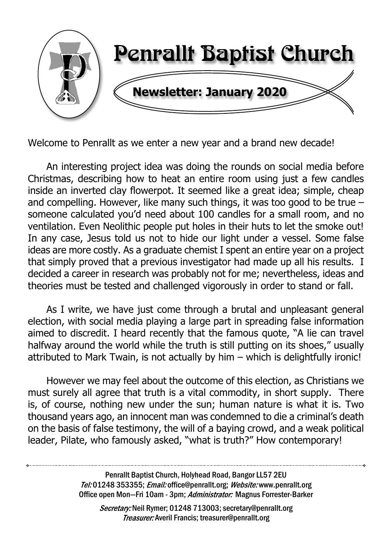

Welcome to Penrallt as we enter a new year and a brand new decade!

An interesting project idea was doing the rounds on social media before Christmas, describing how to heat an entire room using just a few candles inside an inverted clay flowerpot. It seemed like a great idea; simple, cheap and compelling. However, like many such things, it was too good to be true – someone calculated you'd need about 100 candles for a small room, and no ventilation. Even Neolithic people put holes in their huts to let the smoke out! In any case, Jesus told us not to hide our light under a vessel. Some false ideas are more costly. As a graduate chemist I spent an entire year on a project that simply proved that a previous investigator had made up all his results. I decided a career in research was probably not for me; nevertheless, ideas and theories must be tested and challenged vigorously in order to stand or fall.

As I write, we have just come through a brutal and unpleasant general election, with social media playing a large part in spreading false information aimed to discredit. I heard recently that the famous quote, "A lie can travel halfway around the world while the truth is still putting on its shoes," usually attributed to Mark Twain, is not actually by him – which is delightfully ironic!

However we may feel about the outcome of this election, as Christians we must surely all agree that truth is a vital commodity, in short supply. There is, of course, nothing new under the sun; human nature is what it is. Two thousand years ago, an innocent man was condemned to die a criminal's death on the basis of false testimony, the will of a baying crowd, and a weak political leader, Pilate, who famously asked, "what is truth?" How contemporary!

> Penrallt Baptist Church, Holyhead Road, Bangor LL57 2EU Tel:01248 353355; Email: office@penrallt.org; Website: www.penrallt.org Office open Mon-Fri 10am - 3pm; Administrator: Magnus Forrester-Barker

Secretary: Neil Rymer; 01248 713003; secretary@penrallt.org **Treasurer:** Averil Francis; treasurer@penrallt.org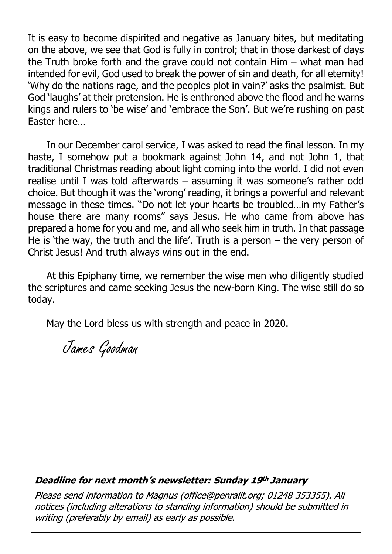It is easy to become dispirited and negative as January bites, but meditating on the above, we see that God is fully in control; that in those darkest of days the Truth broke forth and the grave could not contain Him – what man had intended for evil, God used to break the power of sin and death, for all eternity! 'Why do the nations rage, and the peoples plot in vain?' asks the psalmist. But God 'laughs' at their pretension. He is enthroned above the flood and he warns kings and rulers to 'be wise' and 'embrace the Son'. But we're rushing on past Easter here…

In our December carol service, I was asked to read the final lesson. In my haste, I somehow put a bookmark against John 14, and not John 1, that traditional Christmas reading about light coming into the world. I did not even realise until I was told afterwards – assuming it was someone's rather odd choice. But though it was the 'wrong' reading, it brings a powerful and relevant message in these times. "Do not let your hearts be troubled…in my Father's house there are many rooms" says Jesus. He who came from above has prepared a home for you and me, and all who seek him in truth. In that passage He is 'the way, the truth and the life'. Truth is a person – the very person of Christ Jesus! And truth always wins out in the end.

At this Epiphany time, we remember the wise men who diligently studied the scriptures and came seeking Jesus the new-born King. The wise still do so today.

May the Lord bless us with strength and peace in 2020.

James Goodman

#### Deadline for next month's newsletter: Sunday 19th January

Please send information to Magnus (office@penrallt.org; 01248 353355). All notices (including alterations to standing information) should be submitted in writing (preferably by email) as early as possible.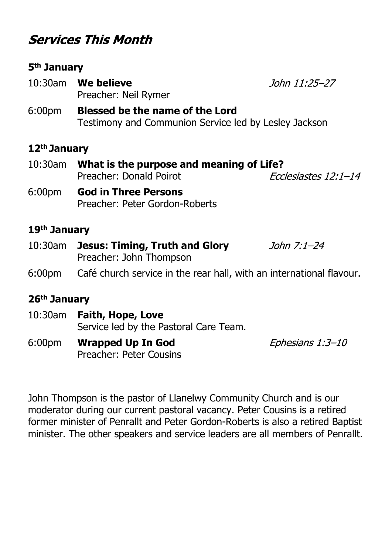# **Services This Month**

#### **5th January**

- 10:30am **We believe** Preacher: Neil Rymer
- 6:00pm **Blessed be the name of the Lord** Testimony and Communion Service led by Lesley Jackson

#### **12th January**

- 10:30am **What is the purpose and meaning of Life?** Preacher: Donald Poirot Ecclesiastes 12:1-14
- 6:00pm **God in Three Persons** Preacher: Peter Gordon-Roberts

#### **19th January**

- 10:30am **Jesus: Timing, Truth and Glory** John 7:1-24 Preacher: John Thompson
- 6:00pm Café church service in the rear hall, with an international flavour.

#### **26th January**

- 10:30am **Faith, Hope, Love** Service led by the Pastoral Care Team.
- 6:00pm **Wrapped Up In God** Preacher: Peter Cousins

Ephesians 1:3-10

John Thompson is the pastor of Llanelwy Community Church and is our moderator during our current pastoral vacancy. Peter Cousins is a retired former minister of Penrallt and Peter Gordon-Roberts is also a retired Baptist minister. The other speakers and service leaders are all members of Penrallt.

#### John 11:25-27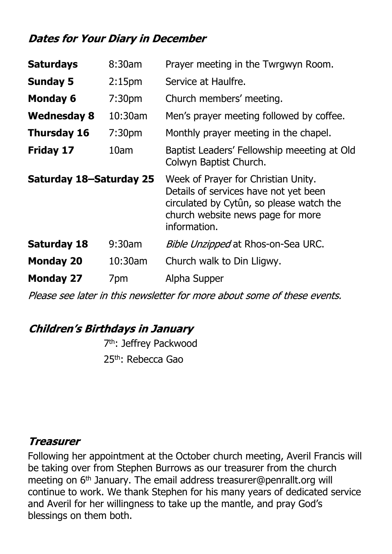## **Dates for Your Diary in December**

| <b>Saturdays</b>        | 8:30am             | Prayer meeting in the Twrgwyn Room.                                                                                                                                           |  |
|-------------------------|--------------------|-------------------------------------------------------------------------------------------------------------------------------------------------------------------------------|--|
| <b>Sunday 5</b>         | 2:15 <sub>pm</sub> | Service at Haulfre.                                                                                                                                                           |  |
| <b>Monday 6</b>         | 7:30 <sub>pm</sub> | Church members' meeting.                                                                                                                                                      |  |
| <b>Wednesday 8</b>      | 10:30am            | Men's prayer meeting followed by coffee.                                                                                                                                      |  |
| <b>Thursday 16</b>      | 7:30 <sub>pm</sub> | Monthly prayer meeting in the chapel.                                                                                                                                         |  |
| <b>Friday 17</b>        | 10am               | Baptist Leaders' Fellowship meeeting at Old<br>Colwyn Baptist Church.                                                                                                         |  |
| Saturday 18-Saturday 25 |                    | Week of Prayer for Christian Unity.<br>Details of services have not yet been<br>circulated by Cytûn, so please watch the<br>church website news page for more<br>information. |  |
| <b>Saturday 18</b>      | $9:30$ am          | <i>Bible Unzipped</i> at Rhos-on-Sea URC.                                                                                                                                     |  |
| <b>Monday 20</b>        | 10:30am            | Church walk to Din Lligwy.                                                                                                                                                    |  |
| <b>Monday 27</b>        | 7pm                | Alpha Supper                                                                                                                                                                  |  |

Please see later in this newsletter for more about some of these events.

## **Children's Birthdays in January**

 7th: Jeffrey Packwood 25<sup>th</sup>: Rebecca Gao

### **Treasurer**

Following her appointment at the October church meeting, Averil Francis will be taking over from Stephen Burrows as our treasurer from the church meeting on 6<sup>th</sup> January. The email address treasurer@penrallt.org will continue to work. We thank Stephen for his many years of dedicated service and Averil for her willingness to take up the mantle, and pray God's blessings on them both.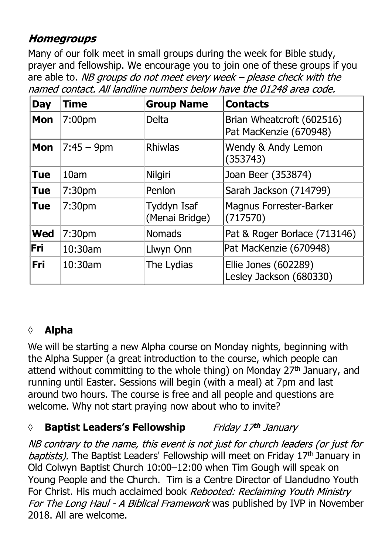## **Homegroups**

Many of our folk meet in small groups during the week for Bible study, prayer and fellowship. We encourage you to join one of these groups if you are able to. NB groups do not meet every week  $-$  please check with the named contact. All landline numbers below have the 01248 area code.

| <b>Day</b> | Time               | <b>Group Name</b>             | <b>Contacts</b>                                     |
|------------|--------------------|-------------------------------|-----------------------------------------------------|
| <b>Mon</b> | 7:00pm             | <b>Delta</b>                  | Brian Wheatcroft (602516)<br>Pat MacKenzie (670948) |
| <b>Mon</b> | $7:45 - 9$ pm      | <b>Rhiwlas</b>                | Wendy & Andy Lemon<br>(353743)                      |
| <b>Tue</b> | 10am               | Nilgiri                       | Joan Beer (353874)                                  |
| <b>Tue</b> | 7:30 <sub>pm</sub> | Penlon                        | Sarah Jackson (714799)                              |
| <b>Tue</b> | 7:30 <sub>pm</sub> | Tyddyn Isaf<br>(Menai Bridge) | <b>Magnus Forrester-Barker</b><br>(717570)          |
| <b>Wed</b> | 7:30 <sub>pm</sub> | <b>Nomads</b>                 | Pat & Roger Borlace (713146)                        |
| Fri        | 10:30am            | Llwyn Onn                     | Pat MacKenzie (670948)                              |
| Fri        | 10:30am            | The Lydias                    | Ellie Jones (602289)<br>Lesley Jackson (680330)     |

## **◊ Alpha**

We will be starting a new Alpha course on Monday nights, beginning with the Alpha Supper (a great introduction to the course, which people can attend without committing to the whole thing) on Monday 27<sup>th</sup> January, and running until Easter. Sessions will begin (with a meal) at 7pm and last around two hours. The course is free and all people and questions are welcome. Why not start praying now about who to invite?

#### *◊* **Baptist Leaders's Fellowship** Friday 17th January

NB contrary to the name, this event is not just for church leaders (or just for baptists). The Baptist Leaders' Fellowship will meet on Friday 17th January in Old Colwyn Baptist Church 10:00–12:00 when Tim Gough will speak on Young People and the Church. Tim is a Centre Director of Llandudno Youth For Christ. His much acclaimed book Rebooted: Reclaiming Youth Ministry For The Long Haul - A Biblical Framework was published by IVP in November 2018. All are welcome.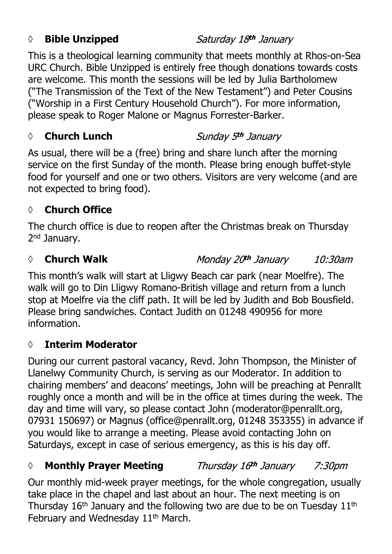#### *◊* **Bible Unzipped**

This is a theological learning community that meets monthly at Rhos-on-Sea URC Church. Bible Unzipped is entirely free though donations towards costs are welcome. This month the sessions will be led by Julia Bartholomew ("The Transmission of the Text of the New Testament") and Peter Cousins

("Worship in a First Century Household Church"). For more information, please speak to Roger Malone or Magnus Forrester-Barker.

## *◊* **Church Lunch**

As usual, there will be a (free) bring and share lunch after the morning service on the first Sunday of the month. Please bring enough buffet-style food for yourself and one or two others. Visitors are very welcome (and are not expected to bring food).

### **◊ Church Office**

The church office is due to reopen after the Christmas break on Thursday 2<sup>nd</sup> January.

#### *◊* **Church Walk**

Monday 20th January 10:30am

This month's walk will start at Lligwy Beach car park (near Moelfre). The walk will go to Din Lligwy Romano-British village and return from a lunch stop at Moelfre via the cliff path. It will be led by Judith and Bob Bousfield. Please bring sandwiches. Contact Judith on 01248 490956 for more information.

### **◊ Interim Moderator**

During our current pastoral vacancy, Revd. John Thompson, the Minister of Llanelwy Community Church, is serving as our Moderator. In addition to chairing members' and deacons' meetings, John will be preaching at Penrallt roughly once a month and will be in the office at times during the week. The day and time will vary, so please contact John (moderator@penrallt.org, 07931 150697) or Magnus (office@penrallt.org, 01248 353355) in advance if you would like to arrange a meeting. Please avoid contacting John on Saturdays, except in case of serious emergency, as this is his day off.

#### *◊* **Monthly Prayer Meeting** Thursday 16th January 7:30*pm*

Our monthly mid-week prayer meetings, for the whole congregation, usually take place in the chapel and last about an hour. The next meeting is on Thursday  $16<sup>th</sup>$  January and the following two are due to be on Tuesday  $11<sup>th</sup>$ February and Wednesday 11<sup>th</sup> March.

## Saturday 18th January

Sunday 5th January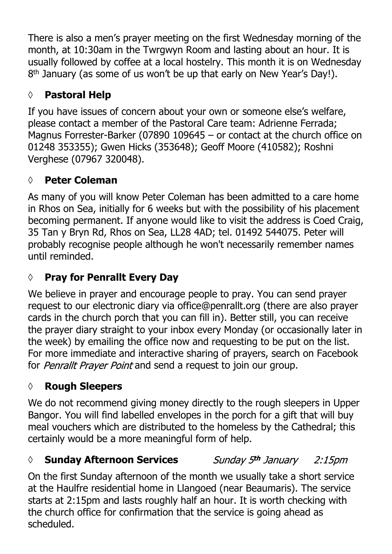There is also a men's prayer meeting on the first Wednesday morning of the month, at 10:30am in the Twrgwyn Room and lasting about an hour. It is usually followed by coffee at a local hostelry. This month it is on Wednesday 8 th January (as some of us won't be up that early on New Year's Day!).

# **◊ Pastoral Help**

If you have issues of concern about your own or someone else's welfare, please contact a member of the Pastoral Care team: Adrienne Ferrada; Magnus Forrester-Barker (07890 109645 – or contact at the church office on 01248 353355); Gwen Hicks (353648); Geoff Moore (410582); Roshni Verghese (07967 320048).

## **◊ Peter Coleman**

As many of you will know Peter Coleman has been admitted to a care home in Rhos on Sea, initially for 6 weeks but with the possibility of his placement becoming permanent. If anyone would like to visit the address is Coed Craig, 35 Tan y Bryn Rd, Rhos on Sea, LL28 4AD; tel. 01492 544075. Peter will probably recognise people although he won't necessarily remember names until reminded.

## **◊ Pray for Penrallt Every Day**

We believe in prayer and encourage people to pray. You can send prayer request to our electronic diary via office@penrallt.org (there are also prayer cards in the church porch that you can fill in). Better still, you can receive the prayer diary straight to your inbox every Monday (or occasionally later in the week) by emailing the office now and requesting to be put on the list. For more immediate and interactive sharing of prayers, search on Facebook for Penrallt Prayer Point and send a request to join our group.

### **◊ Rough Sleepers**

We do not recommend giving money directly to the rough sleepers in Upper Bangor. You will find labelled envelopes in the porch for a gift that will buy meal vouchers which are distributed to the homeless by the Cathedral; this certainly would be a more meaningful form of help.

#### *◊* **Sunday Afternoon Services** Sunday 5th January  $2:15$ pm

On the first Sunday afternoon of the month we usually take a short service at the Haulfre residential home in Llangoed (near Beaumaris). The service starts at 2:15pm and lasts roughly half an hour. It is worth checking with the church office for confirmation that the service is going ahead as scheduled.